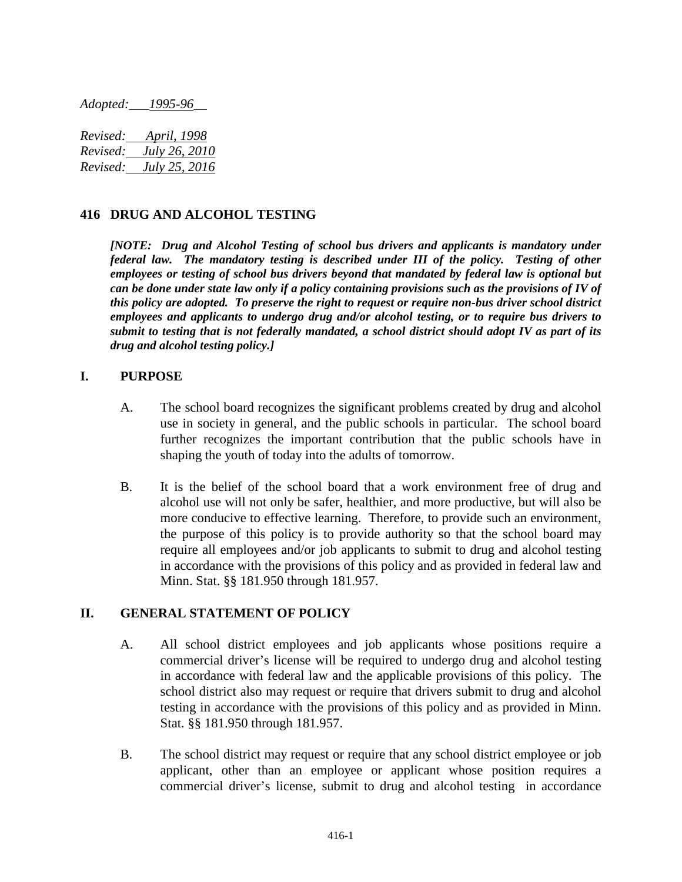*Adopted:\_\_\_1995-96\_\_*

| Revised: | April, 1998          |
|----------|----------------------|
| Revised: | <i>July 26, 2010</i> |
| Revised: | <i>July 25, 2016</i> |

#### **416 DRUG AND ALCOHOL TESTING**

*[NOTE: Drug and Alcohol Testing of school bus drivers and applicants is mandatory under federal law. The mandatory testing is described under III of the policy. Testing of other employees or testing of school bus drivers beyond that mandated by federal law is optional but can be done under state law only if a policy containing provisions such as the provisions of IV of this policy are adopted. To preserve the right to request or require non-bus driver school district employees and applicants to undergo drug and/or alcohol testing, or to require bus drivers to submit to testing that is not federally mandated, a school district should adopt IV as part of its drug and alcohol testing policy.]*

#### **I. PURPOSE**

- A. The school board recognizes the significant problems created by drug and alcohol use in society in general, and the public schools in particular. The school board further recognizes the important contribution that the public schools have in shaping the youth of today into the adults of tomorrow.
- B. It is the belief of the school board that a work environment free of drug and alcohol use will not only be safer, healthier, and more productive, but will also be more conducive to effective learning. Therefore, to provide such an environment, the purpose of this policy is to provide authority so that the school board may require all employees and/or job applicants to submit to drug and alcohol testing in accordance with the provisions of this policy and as provided in federal law and Minn. Stat. §§ 181.950 through 181.957.

#### **II. GENERAL STATEMENT OF POLICY**

- A. All school district employees and job applicants whose positions require a commercial driver's license will be required to undergo drug and alcohol testing in accordance with federal law and the applicable provisions of this policy. The school district also may request or require that drivers submit to drug and alcohol testing in accordance with the provisions of this policy and as provided in Minn. Stat. §§ 181.950 through 181.957.
- B. The school district may request or require that any school district employee or job applicant, other than an employee or applicant whose position requires a commercial driver's license, submit to drug and alcohol testing in accordance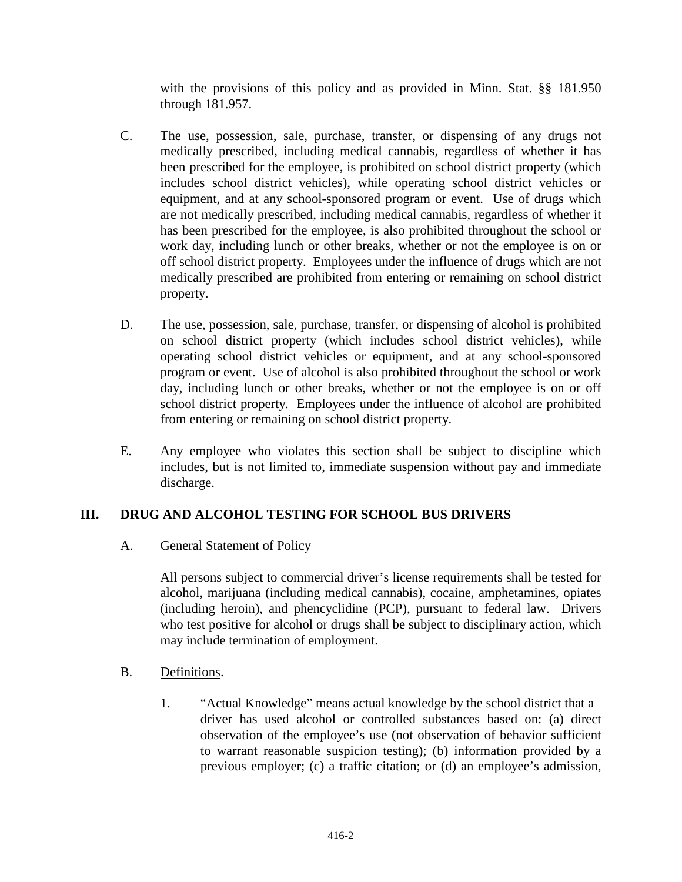with the provisions of this policy and as provided in Minn. Stat. §§ 181.950 through 181.957.

- C. The use, possession, sale, purchase, transfer, or dispensing of any drugs not medically prescribed, including medical cannabis, regardless of whether it has been prescribed for the employee, is prohibited on school district property (which includes school district vehicles), while operating school district vehicles or equipment, and at any school-sponsored program or event. Use of drugs which are not medically prescribed, including medical cannabis, regardless of whether it has been prescribed for the employee, is also prohibited throughout the school or work day, including lunch or other breaks, whether or not the employee is on or off school district property. Employees under the influence of drugs which are not medically prescribed are prohibited from entering or remaining on school district property.
- D. The use, possession, sale, purchase, transfer, or dispensing of alcohol is prohibited on school district property (which includes school district vehicles), while operating school district vehicles or equipment, and at any school-sponsored program or event. Use of alcohol is also prohibited throughout the school or work day, including lunch or other breaks, whether or not the employee is on or off school district property. Employees under the influence of alcohol are prohibited from entering or remaining on school district property.
- E. Any employee who violates this section shall be subject to discipline which includes, but is not limited to, immediate suspension without pay and immediate discharge.

## **III. DRUG AND ALCOHOL TESTING FOR SCHOOL BUS DRIVERS**

## A. General Statement of Policy

All persons subject to commercial driver's license requirements shall be tested for alcohol, marijuana (including medical cannabis), cocaine, amphetamines, opiates (including heroin), and phencyclidine (PCP), pursuant to federal law. Drivers who test positive for alcohol or drugs shall be subject to disciplinary action, which may include termination of employment.

## B. Definitions.

1. "Actual Knowledge" means actual knowledge by the school district that a driver has used alcohol or controlled substances based on: (a) direct observation of the employee's use (not observation of behavior sufficient to warrant reasonable suspicion testing); (b) information provided by a previous employer; (c) a traffic citation; or (d) an employee's admission,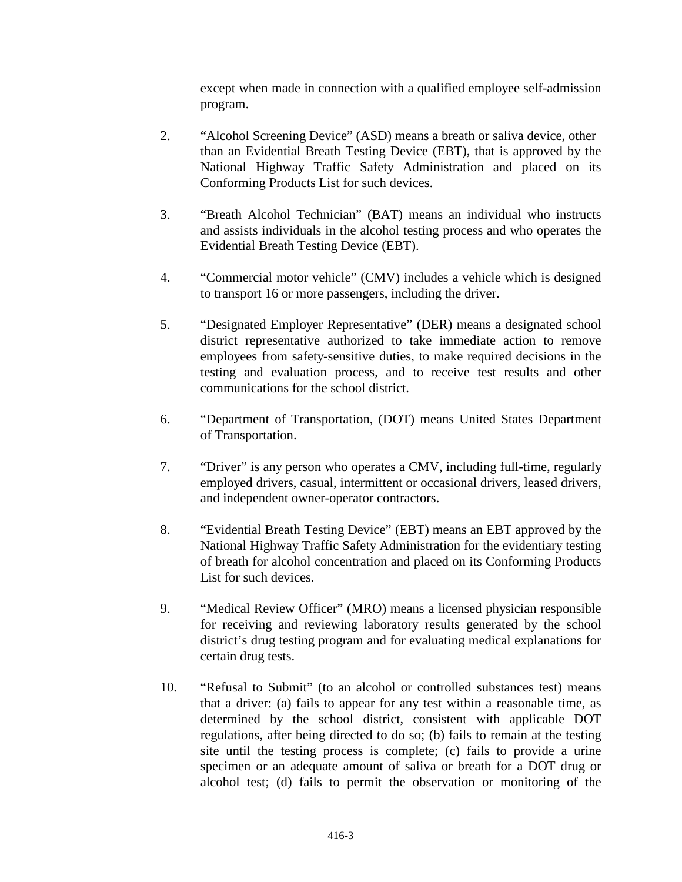except when made in connection with a qualified employee self-admission program.

- 2. "Alcohol Screening Device" (ASD) means a breath or saliva device, other than an Evidential Breath Testing Device (EBT), that is approved by the National Highway Traffic Safety Administration and placed on its Conforming Products List for such devices.
- 3. "Breath Alcohol Technician" (BAT) means an individual who instructs and assists individuals in the alcohol testing process and who operates the Evidential Breath Testing Device (EBT).
- 4. "Commercial motor vehicle" (CMV) includes a vehicle which is designed to transport 16 or more passengers, including the driver.
- 5. "Designated Employer Representative" (DER) means a designated school district representative authorized to take immediate action to remove employees from safety-sensitive duties, to make required decisions in the testing and evaluation process, and to receive test results and other communications for the school district.
- 6. "Department of Transportation, (DOT) means United States Department of Transportation.
- 7. "Driver" is any person who operates a CMV, including full-time, regularly employed drivers, casual, intermittent or occasional drivers, leased drivers, and independent owner-operator contractors.
- 8. "Evidential Breath Testing Device" (EBT) means an EBT approved by the National Highway Traffic Safety Administration for the evidentiary testing of breath for alcohol concentration and placed on its Conforming Products List for such devices.
- 9. "Medical Review Officer" (MRO) means a licensed physician responsible for receiving and reviewing laboratory results generated by the school district's drug testing program and for evaluating medical explanations for certain drug tests.
- 10. "Refusal to Submit" (to an alcohol or controlled substances test) means that a driver: (a) fails to appear for any test within a reasonable time, as determined by the school district, consistent with applicable DOT regulations, after being directed to do so; (b) fails to remain at the testing site until the testing process is complete; (c) fails to provide a urine specimen or an adequate amount of saliva or breath for a DOT drug or alcohol test; (d) fails to permit the observation or monitoring of the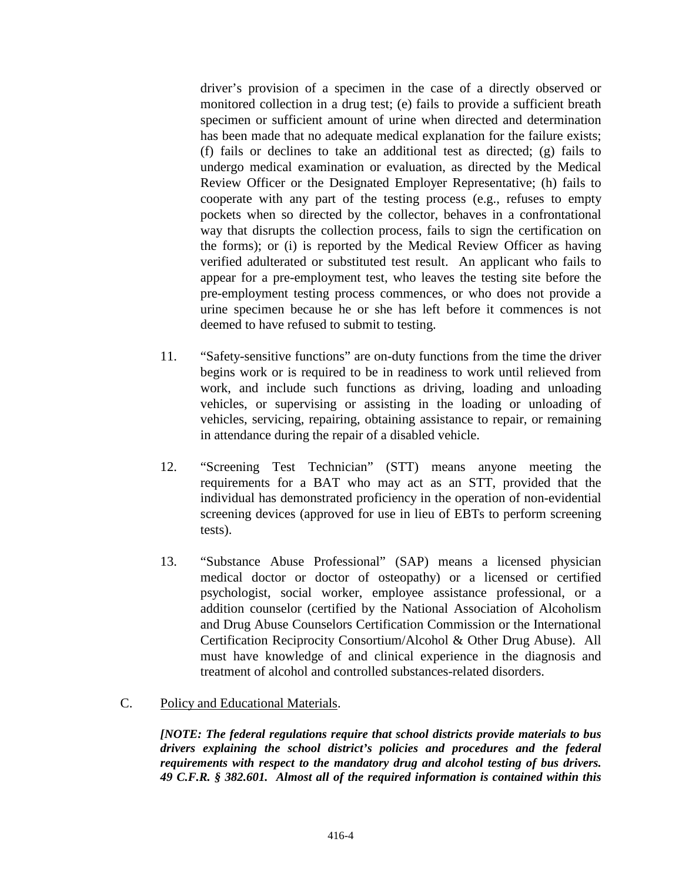driver's provision of a specimen in the case of a directly observed or monitored collection in a drug test; (e) fails to provide a sufficient breath specimen or sufficient amount of urine when directed and determination has been made that no adequate medical explanation for the failure exists; (f) fails or declines to take an additional test as directed; (g) fails to undergo medical examination or evaluation, as directed by the Medical Review Officer or the Designated Employer Representative; (h) fails to cooperate with any part of the testing process (e.g., refuses to empty pockets when so directed by the collector, behaves in a confrontational way that disrupts the collection process, fails to sign the certification on the forms); or (i) is reported by the Medical Review Officer as having verified adulterated or substituted test result. An applicant who fails to appear for a pre-employment test, who leaves the testing site before the pre-employment testing process commences, or who does not provide a urine specimen because he or she has left before it commences is not deemed to have refused to submit to testing.

- 11. "Safety-sensitive functions" are on-duty functions from the time the driver begins work or is required to be in readiness to work until relieved from work, and include such functions as driving, loading and unloading vehicles, or supervising or assisting in the loading or unloading of vehicles, servicing, repairing, obtaining assistance to repair, or remaining in attendance during the repair of a disabled vehicle.
- 12. "Screening Test Technician" (STT) means anyone meeting the requirements for a BAT who may act as an STT, provided that the individual has demonstrated proficiency in the operation of non-evidential screening devices (approved for use in lieu of EBTs to perform screening tests).
- 13. "Substance Abuse Professional" (SAP) means a licensed physician medical doctor or doctor of osteopathy) or a licensed or certified psychologist, social worker, employee assistance professional, or a addition counselor (certified by the National Association of Alcoholism and Drug Abuse Counselors Certification Commission or the International Certification Reciprocity Consortium/Alcohol & Other Drug Abuse). All must have knowledge of and clinical experience in the diagnosis and treatment of alcohol and controlled substances-related disorders.
- C. Policy and Educational Materials.

*[NOTE: The federal regulations require that school districts provide materials to bus drivers explaining the school district's policies and procedures and the federal requirements with respect to the mandatory drug and alcohol testing of bus drivers. 49 C.F.R. § 382.601. Almost all of the required information is contained within this*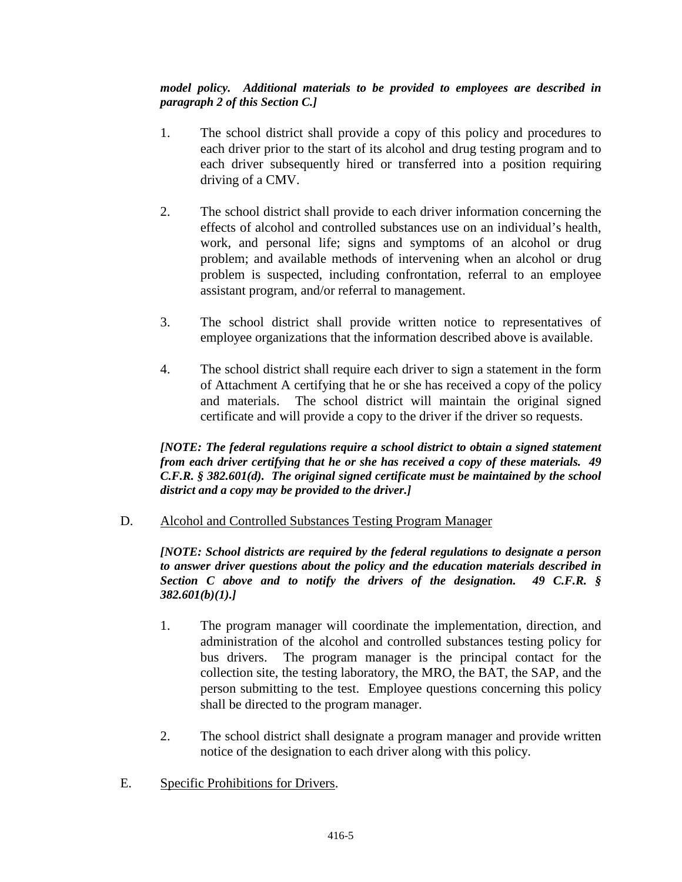### *model policy. Additional materials to be provided to employees are described in paragraph 2 of this Section C.]*

- 1. The school district shall provide a copy of this policy and procedures to each driver prior to the start of its alcohol and drug testing program and to each driver subsequently hired or transferred into a position requiring driving of a CMV.
- 2. The school district shall provide to each driver information concerning the effects of alcohol and controlled substances use on an individual's health, work, and personal life; signs and symptoms of an alcohol or drug problem; and available methods of intervening when an alcohol or drug problem is suspected, including confrontation, referral to an employee assistant program, and/or referral to management.
- 3. The school district shall provide written notice to representatives of employee organizations that the information described above is available.
- 4. The school district shall require each driver to sign a statement in the form of Attachment A certifying that he or she has received a copy of the policy and materials. The school district will maintain the original signed certificate and will provide a copy to the driver if the driver so requests.

*[NOTE: The federal regulations require a school district to obtain a signed statement from each driver certifying that he or she has received a copy of these materials. 49 C.F.R. § 382.601(d). The original signed certificate must be maintained by the school district and a copy may be provided to the driver.]*

D. Alcohol and Controlled Substances Testing Program Manager

*[NOTE: School districts are required by the federal regulations to designate a person to answer driver questions about the policy and the education materials described in Section C above and to notify the drivers of the designation. 49 C.F.R. § 382.601(b)(1).]*

- 1. The program manager will coordinate the implementation, direction, and administration of the alcohol and controlled substances testing policy for bus drivers. The program manager is the principal contact for the collection site, the testing laboratory, the MRO, the BAT, the SAP, and the person submitting to the test. Employee questions concerning this policy shall be directed to the program manager.
- 2. The school district shall designate a program manager and provide written notice of the designation to each driver along with this policy.
- E. Specific Prohibitions for Drivers.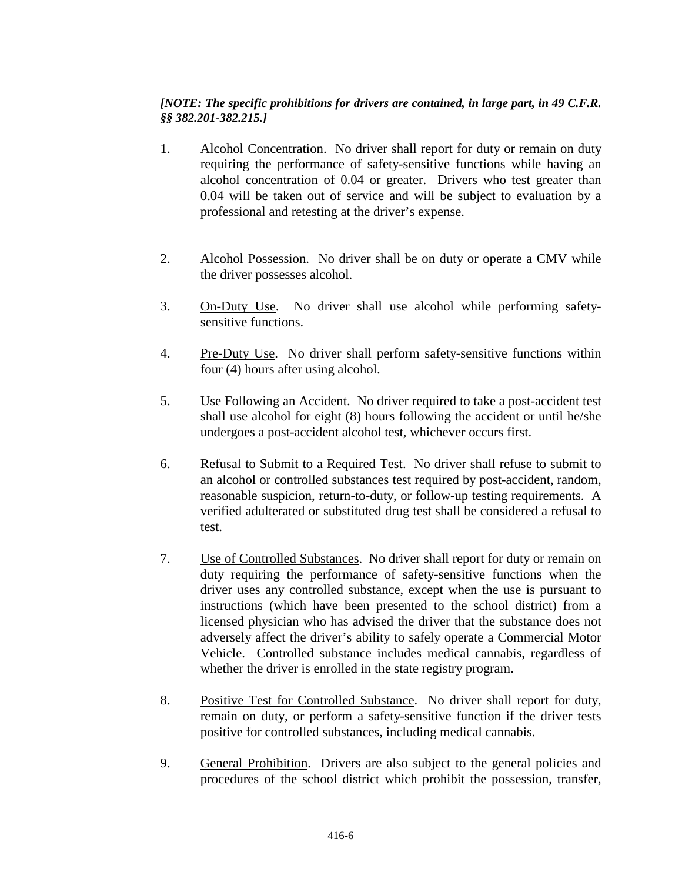### *[NOTE: The specific prohibitions for drivers are contained, in large part, in 49 C.F.R. §§ 382.201-382.215.]*

- 1. Alcohol Concentration. No driver shall report for duty or remain on duty requiring the performance of safety-sensitive functions while having an alcohol concentration of 0.04 or greater. Drivers who test greater than 0.04 will be taken out of service and will be subject to evaluation by a professional and retesting at the driver's expense.
- 2. Alcohol Possession. No driver shall be on duty or operate a CMV while the driver possesses alcohol.
- 3. On-Duty Use. No driver shall use alcohol while performing safetysensitive functions.
- 4. Pre-Duty Use. No driver shall perform safety-sensitive functions within four (4) hours after using alcohol.
- 5. Use Following an Accident. No driver required to take a post-accident test shall use alcohol for eight (8) hours following the accident or until he/she undergoes a post-accident alcohol test, whichever occurs first.
- 6. Refusal to Submit to a Required Test. No driver shall refuse to submit to an alcohol or controlled substances test required by post-accident, random, reasonable suspicion, return-to-duty, or follow-up testing requirements. A verified adulterated or substituted drug test shall be considered a refusal to test.
- 7. Use of Controlled Substances. No driver shall report for duty or remain on duty requiring the performance of safety-sensitive functions when the driver uses any controlled substance, except when the use is pursuant to instructions (which have been presented to the school district) from a licensed physician who has advised the driver that the substance does not adversely affect the driver's ability to safely operate a Commercial Motor Vehicle. Controlled substance includes medical cannabis, regardless of whether the driver is enrolled in the state registry program.
- 8. Positive Test for Controlled Substance. No driver shall report for duty, remain on duty, or perform a safety-sensitive function if the driver tests positive for controlled substances, including medical cannabis.
- 9. General Prohibition. Drivers are also subject to the general policies and procedures of the school district which prohibit the possession, transfer,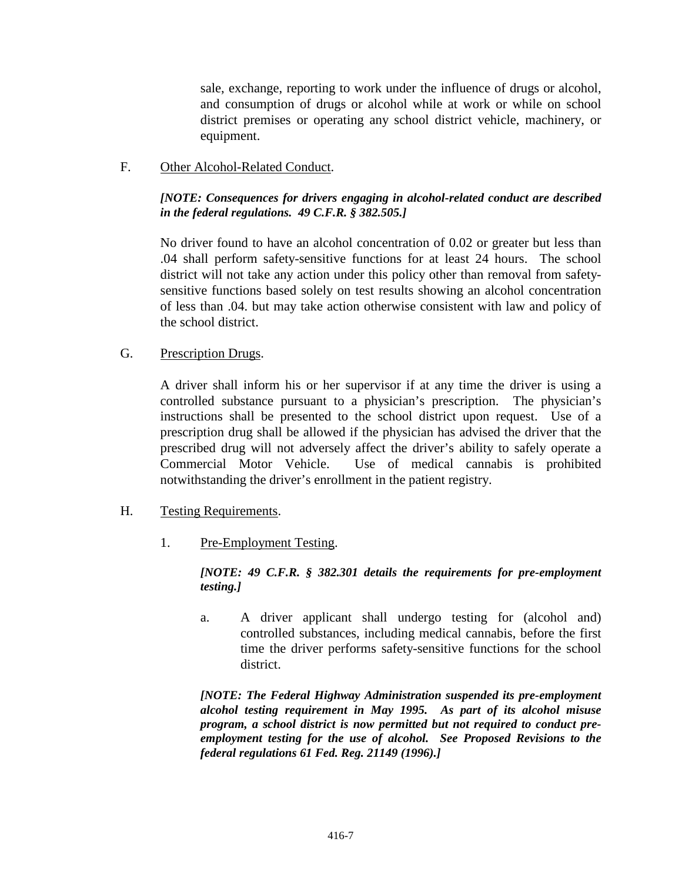sale, exchange, reporting to work under the influence of drugs or alcohol, and consumption of drugs or alcohol while at work or while on school district premises or operating any school district vehicle, machinery, or equipment.

F. Other Alcohol-Related Conduct.

#### *[NOTE: Consequences for drivers engaging in alcohol-related conduct are described in the federal regulations. 49 C.F.R. § 382.505.]*

No driver found to have an alcohol concentration of 0.02 or greater but less than .04 shall perform safety-sensitive functions for at least 24 hours. The school district will not take any action under this policy other than removal from safetysensitive functions based solely on test results showing an alcohol concentration of less than .04. but may take action otherwise consistent with law and policy of the school district.

## G. Prescription Drugs.

A driver shall inform his or her supervisor if at any time the driver is using a controlled substance pursuant to a physician's prescription. The physician's instructions shall be presented to the school district upon request. Use of a prescription drug shall be allowed if the physician has advised the driver that the prescribed drug will not adversely affect the driver's ability to safely operate a Commercial Motor Vehicle. Use of medical cannabis is prohibited notwithstanding the driver's enrollment in the patient registry.

- H. Testing Requirements.
	- 1. Pre-Employment Testing.

### *[NOTE: 49 C.F.R. § 382.301 details the requirements for pre-employment testing.]*

a. A driver applicant shall undergo testing for (alcohol and) controlled substances, including medical cannabis, before the first time the driver performs safety-sensitive functions for the school district.

*[NOTE: The Federal Highway Administration suspended its pre-employment alcohol testing requirement in May 1995. As part of its alcohol misuse program, a school district is now permitted but not required to conduct preemployment testing for the use of alcohol. See Proposed Revisions to the federal regulations 61 Fed. Reg. 21149 (1996).]*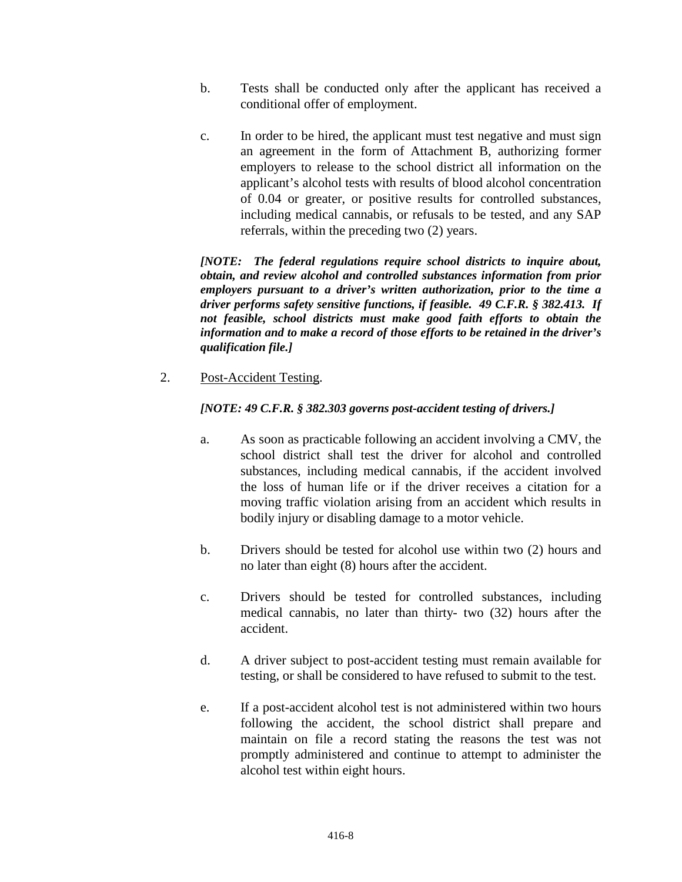- b. Tests shall be conducted only after the applicant has received a conditional offer of employment.
- c. In order to be hired, the applicant must test negative and must sign an agreement in the form of Attachment B, authorizing former employers to release to the school district all information on the applicant's alcohol tests with results of blood alcohol concentration of 0.04 or greater, or positive results for controlled substances, including medical cannabis, or refusals to be tested, and any SAP referrals, within the preceding two (2) years.

*[NOTE: The federal regulations require school districts to inquire about, obtain, and review alcohol and controlled substances information from prior employers pursuant to a driver's written authorization, prior to the time a driver performs safety sensitive functions, if feasible. 49 C.F.R. § 382.413. If not feasible, school districts must make good faith efforts to obtain the information and to make a record of those efforts to be retained in the driver's qualification file.]*

2. Post-Accident Testing.

#### *[NOTE: 49 C.F.R. § 382.303 governs post-accident testing of drivers.]*

- a. As soon as practicable following an accident involving a CMV, the school district shall test the driver for alcohol and controlled substances, including medical cannabis, if the accident involved the loss of human life or if the driver receives a citation for a moving traffic violation arising from an accident which results in bodily injury or disabling damage to a motor vehicle.
- b. Drivers should be tested for alcohol use within two (2) hours and no later than eight (8) hours after the accident.
- c. Drivers should be tested for controlled substances, including medical cannabis, no later than thirty- two (32) hours after the accident.
- d. A driver subject to post-accident testing must remain available for testing, or shall be considered to have refused to submit to the test.
- e. If a post-accident alcohol test is not administered within two hours following the accident, the school district shall prepare and maintain on file a record stating the reasons the test was not promptly administered and continue to attempt to administer the alcohol test within eight hours.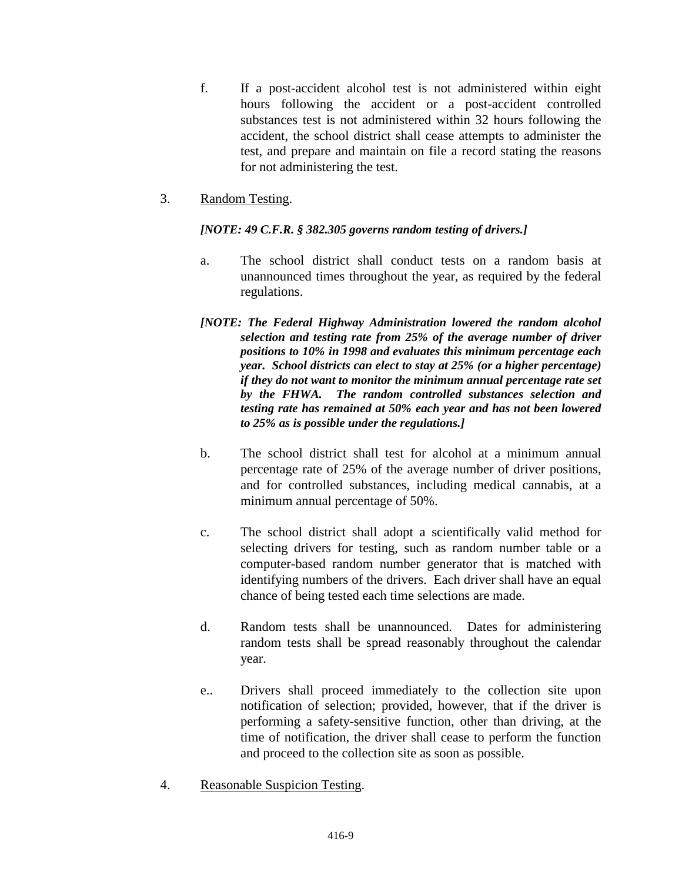- f. If a post-accident alcohol test is not administered within eight hours following the accident or a post-accident controlled substances test is not administered within 32 hours following the accident, the school district shall cease attempts to administer the test, and prepare and maintain on file a record stating the reasons for not administering the test.
- 3. Random Testing.

## *[NOTE: 49 C.F.R. § 382.305 governs random testing of drivers.]*

- a. The school district shall conduct tests on a random basis at unannounced times throughout the year, as required by the federal regulations.
- *[NOTE: The Federal Highway Administration lowered the random alcohol selection and testing rate from 25% of the average number of driver positions to 10% in 1998 and evaluates this minimum percentage each year. School districts can elect to stay at 25% (or a higher percentage) if they do not want to monitor the minimum annual percentage rate set by the FHWA. The random controlled substances selection and testing rate has remained at 50% each year and has not been lowered to 25% as is possible under the regulations.]*
- b. The school district shall test for alcohol at a minimum annual percentage rate of 25% of the average number of driver positions, and for controlled substances, including medical cannabis, at a minimum annual percentage of 50%.
- c. The school district shall adopt a scientifically valid method for selecting drivers for testing, such as random number table or a computer-based random number generator that is matched with identifying numbers of the drivers. Each driver shall have an equal chance of being tested each time selections are made.
- d. Random tests shall be unannounced. Dates for administering random tests shall be spread reasonably throughout the calendar year.
- e.. Drivers shall proceed immediately to the collection site upon notification of selection; provided, however, that if the driver is performing a safety-sensitive function, other than driving, at the time of notification, the driver shall cease to perform the function and proceed to the collection site as soon as possible.
- 4. Reasonable Suspicion Testing.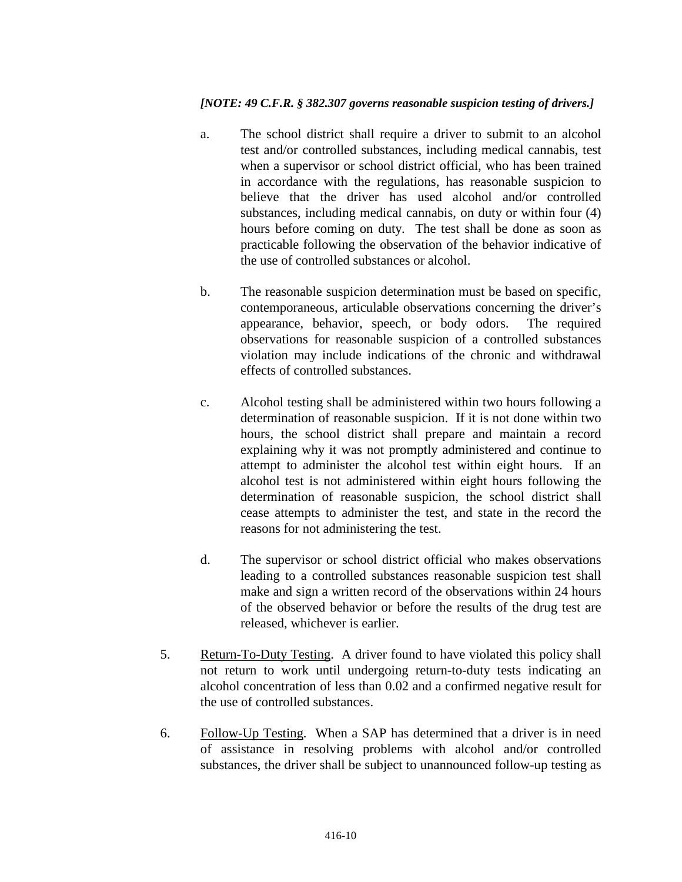#### *[NOTE: 49 C.F.R. § 382.307 governs reasonable suspicion testing of drivers.]*

- a. The school district shall require a driver to submit to an alcohol test and/or controlled substances, including medical cannabis, test when a supervisor or school district official, who has been trained in accordance with the regulations, has reasonable suspicion to believe that the driver has used alcohol and/or controlled substances, including medical cannabis, on duty or within four (4) hours before coming on duty. The test shall be done as soon as practicable following the observation of the behavior indicative of the use of controlled substances or alcohol.
- b. The reasonable suspicion determination must be based on specific, contemporaneous, articulable observations concerning the driver's appearance, behavior, speech, or body odors. The required observations for reasonable suspicion of a controlled substances violation may include indications of the chronic and withdrawal effects of controlled substances.
- c. Alcohol testing shall be administered within two hours following a determination of reasonable suspicion. If it is not done within two hours, the school district shall prepare and maintain a record explaining why it was not promptly administered and continue to attempt to administer the alcohol test within eight hours. If an alcohol test is not administered within eight hours following the determination of reasonable suspicion, the school district shall cease attempts to administer the test, and state in the record the reasons for not administering the test.
- d. The supervisor or school district official who makes observations leading to a controlled substances reasonable suspicion test shall make and sign a written record of the observations within 24 hours of the observed behavior or before the results of the drug test are released, whichever is earlier.
- 5. Return-To-Duty Testing. A driver found to have violated this policy shall not return to work until undergoing return-to-duty tests indicating an alcohol concentration of less than 0.02 and a confirmed negative result for the use of controlled substances.
- 6. Follow-Up Testing. When a SAP has determined that a driver is in need of assistance in resolving problems with alcohol and/or controlled substances, the driver shall be subject to unannounced follow-up testing as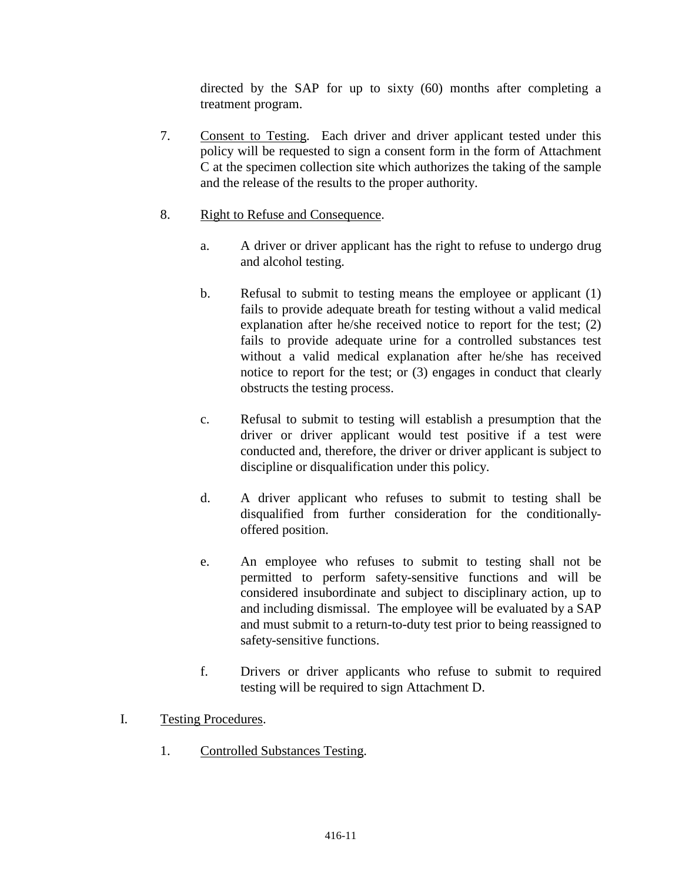directed by the SAP for up to sixty (60) months after completing a treatment program.

- 7. Consent to Testing. Each driver and driver applicant tested under this policy will be requested to sign a consent form in the form of Attachment C at the specimen collection site which authorizes the taking of the sample and the release of the results to the proper authority.
- 8. Right to Refuse and Consequence.
	- a. A driver or driver applicant has the right to refuse to undergo drug and alcohol testing.
	- b. Refusal to submit to testing means the employee or applicant (1) fails to provide adequate breath for testing without a valid medical explanation after he/she received notice to report for the test; (2) fails to provide adequate urine for a controlled substances test without a valid medical explanation after he/she has received notice to report for the test; or (3) engages in conduct that clearly obstructs the testing process.
	- c. Refusal to submit to testing will establish a presumption that the driver or driver applicant would test positive if a test were conducted and, therefore, the driver or driver applicant is subject to discipline or disqualification under this policy.
	- d. A driver applicant who refuses to submit to testing shall be disqualified from further consideration for the conditionallyoffered position.
	- e. An employee who refuses to submit to testing shall not be permitted to perform safety-sensitive functions and will be considered insubordinate and subject to disciplinary action, up to and including dismissal. The employee will be evaluated by a SAP and must submit to a return-to-duty test prior to being reassigned to safety-sensitive functions.
	- f. Drivers or driver applicants who refuse to submit to required testing will be required to sign Attachment D.
- I. Testing Procedures.
	- 1. Controlled Substances Testing.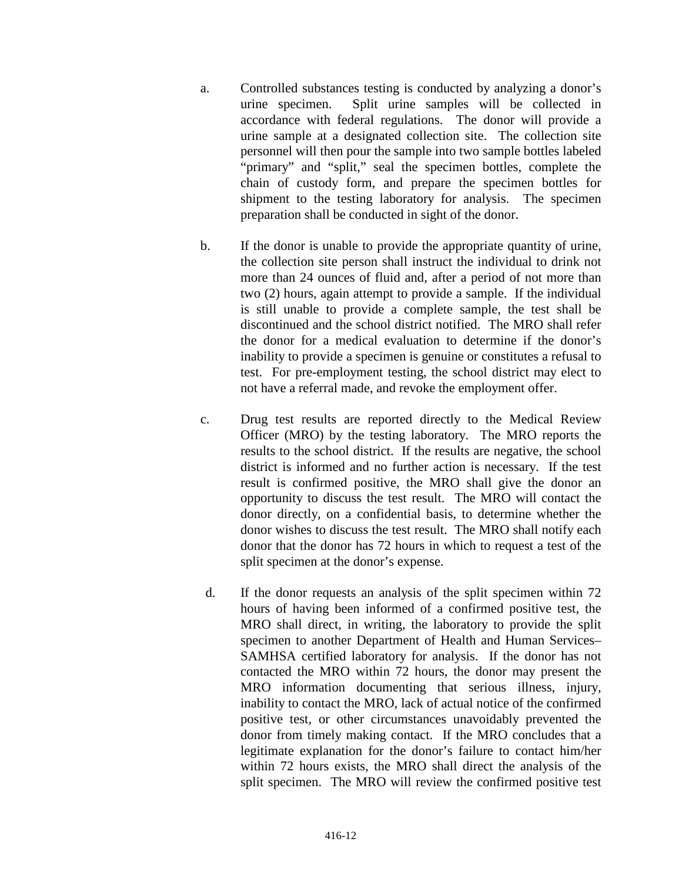- a. Controlled substances testing is conducted by analyzing a donor's urine specimen. Split urine samples will be collected in accordance with federal regulations. The donor will provide a urine sample at a designated collection site. The collection site personnel will then pour the sample into two sample bottles labeled "primary" and "split," seal the specimen bottles, complete the chain of custody form, and prepare the specimen bottles for shipment to the testing laboratory for analysis. The specimen preparation shall be conducted in sight of the donor.
- b. If the donor is unable to provide the appropriate quantity of urine, the collection site person shall instruct the individual to drink not more than 24 ounces of fluid and, after a period of not more than two (2) hours, again attempt to provide a sample. If the individual is still unable to provide a complete sample, the test shall be discontinued and the school district notified. The MRO shall refer the donor for a medical evaluation to determine if the donor's inability to provide a specimen is genuine or constitutes a refusal to test. For pre-employment testing, the school district may elect to not have a referral made, and revoke the employment offer.
- c. Drug test results are reported directly to the Medical Review Officer (MRO) by the testing laboratory. The MRO reports the results to the school district. If the results are negative, the school district is informed and no further action is necessary. If the test result is confirmed positive, the MRO shall give the donor an opportunity to discuss the test result. The MRO will contact the donor directly, on a confidential basis, to determine whether the donor wishes to discuss the test result. The MRO shall notify each donor that the donor has 72 hours in which to request a test of the split specimen at the donor's expense.
- d. If the donor requests an analysis of the split specimen within 72 hours of having been informed of a confirmed positive test, the MRO shall direct, in writing, the laboratory to provide the split specimen to another Department of Health and Human Services– SAMHSA certified laboratory for analysis. If the donor has not contacted the MRO within 72 hours, the donor may present the MRO information documenting that serious illness, injury, inability to contact the MRO, lack of actual notice of the confirmed positive test, or other circumstances unavoidably prevented the donor from timely making contact. If the MRO concludes that a legitimate explanation for the donor's failure to contact him/her within 72 hours exists, the MRO shall direct the analysis of the split specimen. The MRO will review the confirmed positive test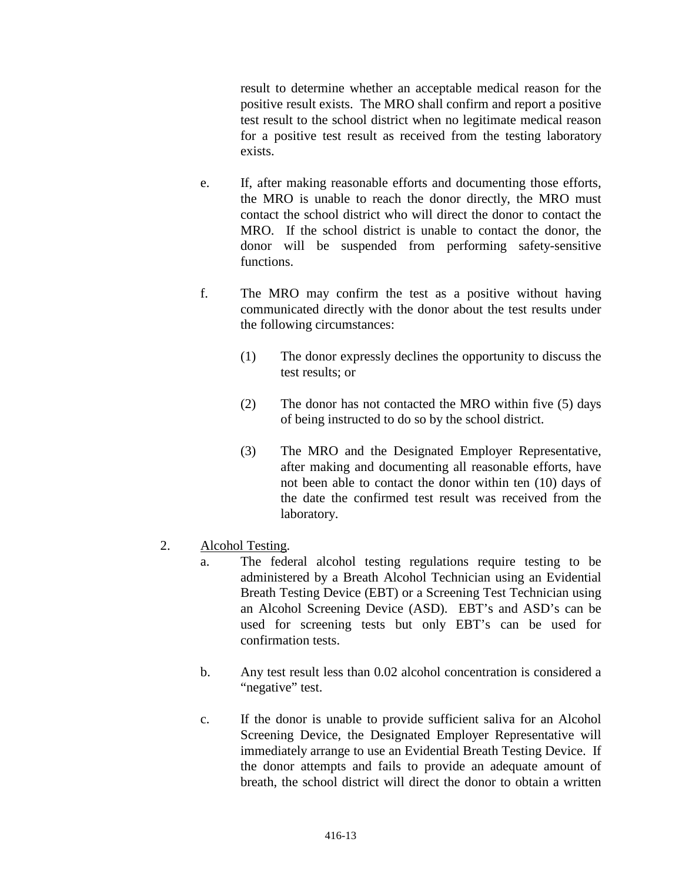result to determine whether an acceptable medical reason for the positive result exists. The MRO shall confirm and report a positive test result to the school district when no legitimate medical reason for a positive test result as received from the testing laboratory exists.

- e. If, after making reasonable efforts and documenting those efforts, the MRO is unable to reach the donor directly, the MRO must contact the school district who will direct the donor to contact the MRO. If the school district is unable to contact the donor, the donor will be suspended from performing safety-sensitive functions.
- f. The MRO may confirm the test as a positive without having communicated directly with the donor about the test results under the following circumstances:
	- (1) The donor expressly declines the opportunity to discuss the test results; or
	- (2) The donor has not contacted the MRO within five (5) days of being instructed to do so by the school district.
	- (3) The MRO and the Designated Employer Representative, after making and documenting all reasonable efforts, have not been able to contact the donor within ten (10) days of the date the confirmed test result was received from the laboratory.
- 2. Alcohol Testing.
	- a. The federal alcohol testing regulations require testing to be administered by a Breath Alcohol Technician using an Evidential Breath Testing Device (EBT) or a Screening Test Technician using an Alcohol Screening Device (ASD). EBT's and ASD's can be used for screening tests but only EBT's can be used for confirmation tests.
	- b. Any test result less than 0.02 alcohol concentration is considered a "negative" test.
	- c. If the donor is unable to provide sufficient saliva for an Alcohol Screening Device, the Designated Employer Representative will immediately arrange to use an Evidential Breath Testing Device. If the donor attempts and fails to provide an adequate amount of breath, the school district will direct the donor to obtain a written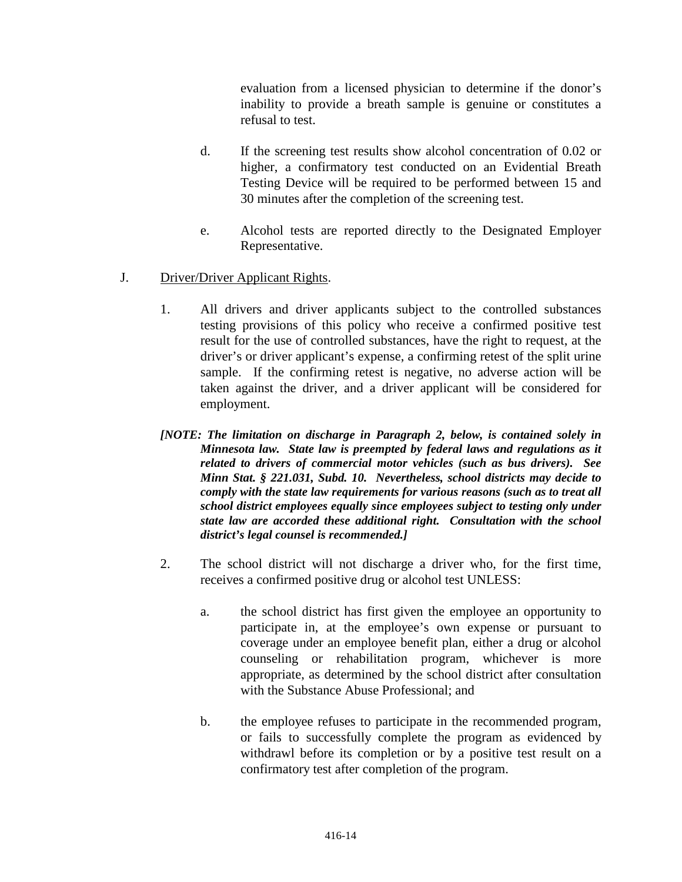evaluation from a licensed physician to determine if the donor's inability to provide a breath sample is genuine or constitutes a refusal to test.

- d. If the screening test results show alcohol concentration of 0.02 or higher, a confirmatory test conducted on an Evidential Breath Testing Device will be required to be performed between 15 and 30 minutes after the completion of the screening test.
- e. Alcohol tests are reported directly to the Designated Employer Representative.
- J. Driver/Driver Applicant Rights.
	- 1. All drivers and driver applicants subject to the controlled substances testing provisions of this policy who receive a confirmed positive test result for the use of controlled substances, have the right to request, at the driver's or driver applicant's expense, a confirming retest of the split urine sample. If the confirming retest is negative, no adverse action will be taken against the driver, and a driver applicant will be considered for employment.
	- *[NOTE: The limitation on discharge in Paragraph 2, below, is contained solely in Minnesota law. State law is preempted by federal laws and regulations as it related to drivers of commercial motor vehicles (such as bus drivers). See Minn Stat. § 221.031, Subd. 10. Nevertheless, school districts may decide to comply with the state law requirements for various reasons (such as to treat all school district employees equally since employees subject to testing only under state law are accorded these additional right. Consultation with the school district's legal counsel is recommended.]*
	- 2. The school district will not discharge a driver who, for the first time, receives a confirmed positive drug or alcohol test UNLESS:
		- a. the school district has first given the employee an opportunity to participate in, at the employee's own expense or pursuant to coverage under an employee benefit plan, either a drug or alcohol counseling or rehabilitation program, whichever is more appropriate, as determined by the school district after consultation with the Substance Abuse Professional; and
		- b. the employee refuses to participate in the recommended program, or fails to successfully complete the program as evidenced by withdrawl before its completion or by a positive test result on a confirmatory test after completion of the program.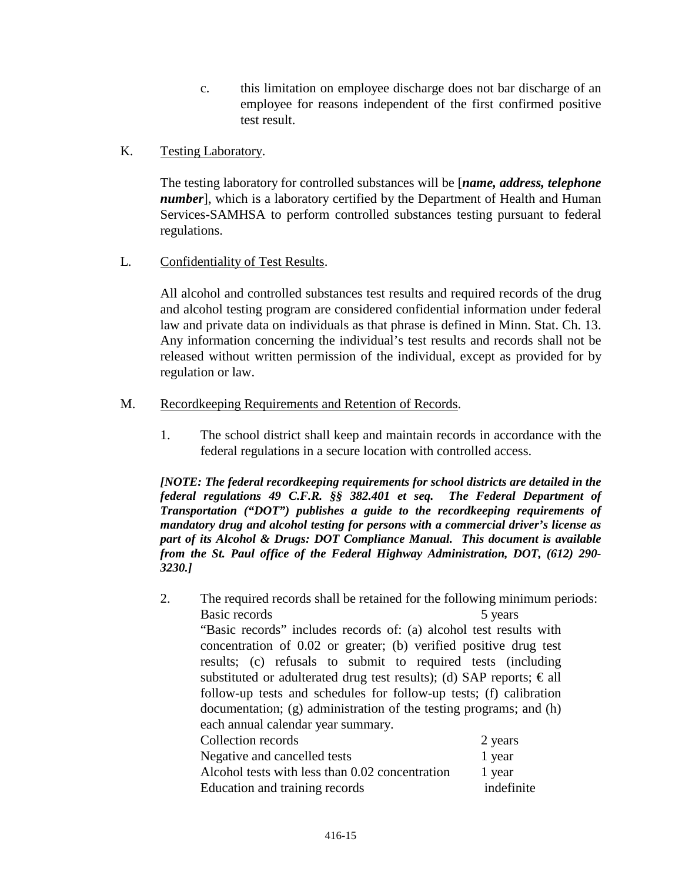- c. this limitation on employee discharge does not bar discharge of an employee for reasons independent of the first confirmed positive test result.
- K. Testing Laboratory.

The testing laboratory for controlled substances will be [*name, address, telephone number*], which is a laboratory certified by the Department of Health and Human Services-SAMHSA to perform controlled substances testing pursuant to federal regulations.

L. Confidentiality of Test Results.

All alcohol and controlled substances test results and required records of the drug and alcohol testing program are considered confidential information under federal law and private data on individuals as that phrase is defined in Minn. Stat. Ch. 13. Any information concerning the individual's test results and records shall not be released without written permission of the individual, except as provided for by regulation or law.

- M. Recordkeeping Requirements and Retention of Records.
	- 1. The school district shall keep and maintain records in accordance with the federal regulations in a secure location with controlled access.

*[NOTE: The federal recordkeeping requirements for school districts are detailed in the federal regulations 49 C.F.R. §§ 382.401 et seq. The Federal Department of Transportation ("DOT") publishes a guide to the recordkeeping requirements of mandatory drug and alcohol testing for persons with a commercial driver's license as part of its Alcohol & Drugs: DOT Compliance Manual. This document is available from the St. Paul office of the Federal Highway Administration, DOT, (612) 290- 3230.]*

2. The required records shall be retained for the following minimum periods: Basic records 5 years 5 years "Basic records" includes records of: (a) alcohol test results with concentration of 0.02 or greater; (b) verified positive drug test results; (c) refusals to submit to required tests (including substituted or adulterated drug test results); (d) SAP reports;  $\epsilon$ all follow-up tests and schedules for follow-up tests; (f) calibration documentation; (g) administration of the testing programs; and (h) each annual calendar year summary. Collection records 2 years 2 Negative and cancelled tests 1 year Alcohol tests with less than  $0.02$  concentration 1 year Education and training records indefinite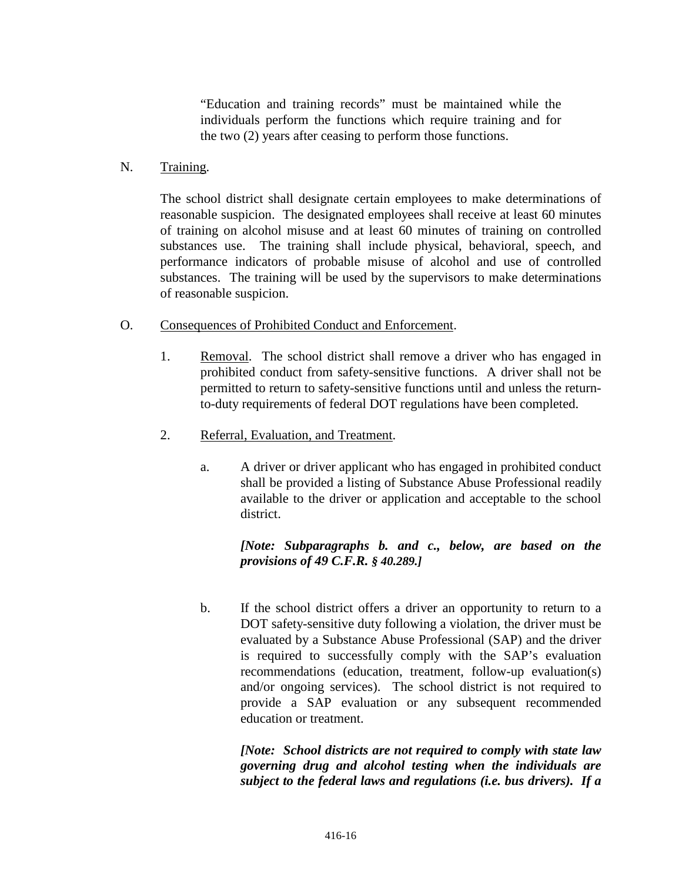"Education and training records" must be maintained while the individuals perform the functions which require training and for the two (2) years after ceasing to perform those functions.

#### N. Training.

The school district shall designate certain employees to make determinations of reasonable suspicion. The designated employees shall receive at least 60 minutes of training on alcohol misuse and at least 60 minutes of training on controlled substances use. The training shall include physical, behavioral, speech, and performance indicators of probable misuse of alcohol and use of controlled substances. The training will be used by the supervisors to make determinations of reasonable suspicion.

### O. Consequences of Prohibited Conduct and Enforcement.

- 1. Removal. The school district shall remove a driver who has engaged in prohibited conduct from safety-sensitive functions. A driver shall not be permitted to return to safety-sensitive functions until and unless the returnto-duty requirements of federal DOT regulations have been completed.
- 2. Referral, Evaluation, and Treatment.
	- a. A driver or driver applicant who has engaged in prohibited conduct shall be provided a listing of Substance Abuse Professional readily available to the driver or application and acceptable to the school district.

## *[Note: Subparagraphs b. and c., below, are based on the provisions of 49 C.F.R. § 40.289.]*

b. If the school district offers a driver an opportunity to return to a DOT safety-sensitive duty following a violation, the driver must be evaluated by a Substance Abuse Professional (SAP) and the driver is required to successfully comply with the SAP's evaluation recommendations (education, treatment, follow-up evaluation(s) and/or ongoing services). The school district is not required to provide a SAP evaluation or any subsequent recommended education or treatment.

*[Note: School districts are not required to comply with state law governing drug and alcohol testing when the individuals are subject to the federal laws and regulations (i.e. bus drivers). If a*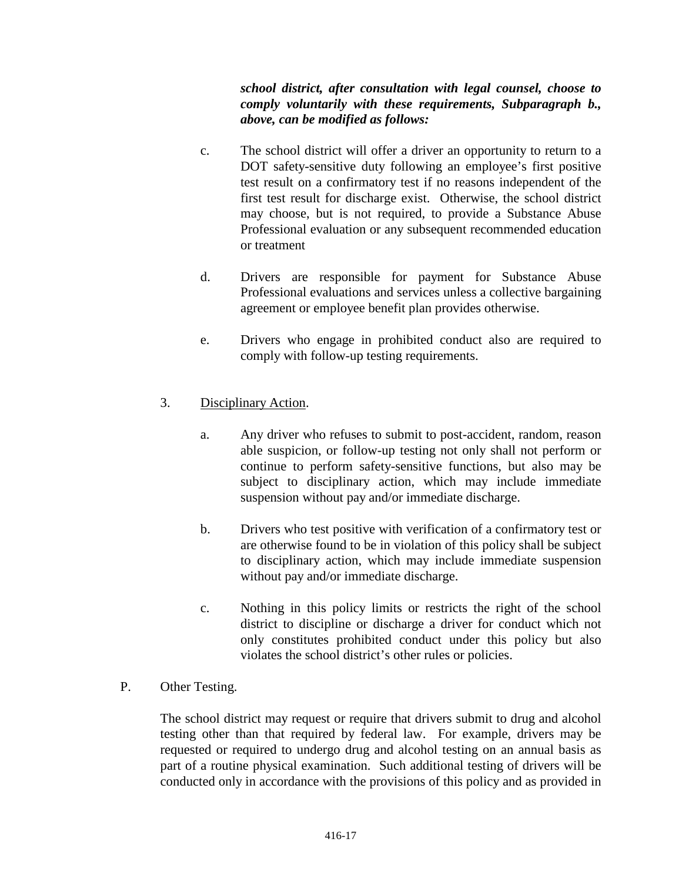*school district, after consultation with legal counsel, choose to comply voluntarily with these requirements, Subparagraph b., above, can be modified as follows:*

- c. The school district will offer a driver an opportunity to return to a DOT safety-sensitive duty following an employee's first positive test result on a confirmatory test if no reasons independent of the first test result for discharge exist. Otherwise, the school district may choose, but is not required, to provide a Substance Abuse Professional evaluation or any subsequent recommended education or treatment
- d. Drivers are responsible for payment for Substance Abuse Professional evaluations and services unless a collective bargaining agreement or employee benefit plan provides otherwise.
- e. Drivers who engage in prohibited conduct also are required to comply with follow-up testing requirements.

## 3. Disciplinary Action.

- a. Any driver who refuses to submit to post-accident, random, reason able suspicion, or follow-up testing not only shall not perform or continue to perform safety-sensitive functions, but also may be subject to disciplinary action, which may include immediate suspension without pay and/or immediate discharge.
- b. Drivers who test positive with verification of a confirmatory test or are otherwise found to be in violation of this policy shall be subject to disciplinary action, which may include immediate suspension without pay and/or immediate discharge.
- c. Nothing in this policy limits or restricts the right of the school district to discipline or discharge a driver for conduct which not only constitutes prohibited conduct under this policy but also violates the school district's other rules or policies.

## P. Other Testing.

The school district may request or require that drivers submit to drug and alcohol testing other than that required by federal law. For example, drivers may be requested or required to undergo drug and alcohol testing on an annual basis as part of a routine physical examination. Such additional testing of drivers will be conducted only in accordance with the provisions of this policy and as provided in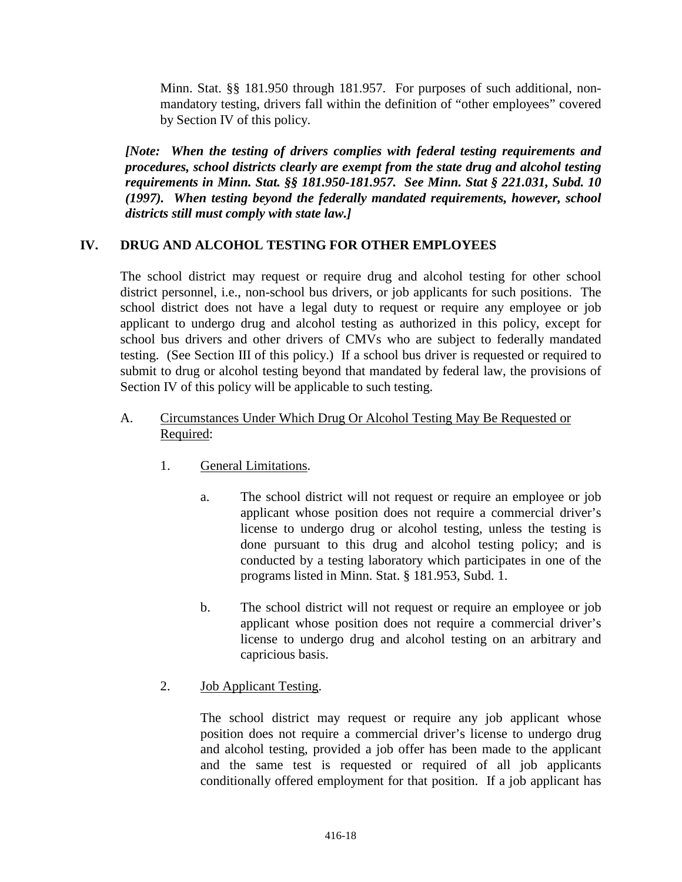Minn. Stat. §§ 181.950 through 181.957. For purposes of such additional, nonmandatory testing, drivers fall within the definition of "other employees" covered by Section IV of this policy.

*[Note: When the testing of drivers complies with federal testing requirements and procedures, school districts clearly are exempt from the state drug and alcohol testing requirements in Minn. Stat. §§ 181.950-181.957. See Minn. Stat § 221.031, Subd. 10 (1997). When testing beyond the federally mandated requirements, however, school districts still must comply with state law.]*

## **IV. DRUG AND ALCOHOL TESTING FOR OTHER EMPLOYEES**

The school district may request or require drug and alcohol testing for other school district personnel, i.e., non-school bus drivers, or job applicants for such positions. The school district does not have a legal duty to request or require any employee or job applicant to undergo drug and alcohol testing as authorized in this policy, except for school bus drivers and other drivers of CMVs who are subject to federally mandated testing. (See Section III of this policy.) If a school bus driver is requested or required to submit to drug or alcohol testing beyond that mandated by federal law, the provisions of Section IV of this policy will be applicable to such testing.

## A. Circumstances Under Which Drug Or Alcohol Testing May Be Requested or Required:

- 1. General Limitations.
	- a. The school district will not request or require an employee or job applicant whose position does not require a commercial driver's license to undergo drug or alcohol testing, unless the testing is done pursuant to this drug and alcohol testing policy; and is conducted by a testing laboratory which participates in one of the programs listed in Minn. Stat. § 181.953, Subd. 1.
	- b. The school district will not request or require an employee or job applicant whose position does not require a commercial driver's license to undergo drug and alcohol testing on an arbitrary and capricious basis.
- 2. Job Applicant Testing.

The school district may request or require any job applicant whose position does not require a commercial driver's license to undergo drug and alcohol testing, provided a job offer has been made to the applicant and the same test is requested or required of all job applicants conditionally offered employment for that position. If a job applicant has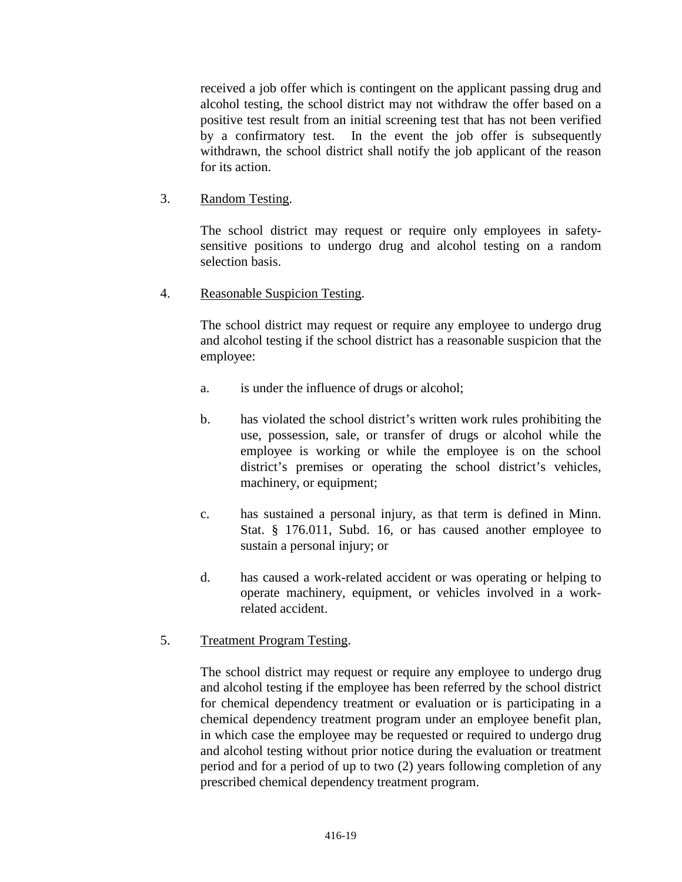received a job offer which is contingent on the applicant passing drug and alcohol testing, the school district may not withdraw the offer based on a positive test result from an initial screening test that has not been verified by a confirmatory test. In the event the job offer is subsequently withdrawn, the school district shall notify the job applicant of the reason for its action.

## 3. Random Testing.

The school district may request or require only employees in safetysensitive positions to undergo drug and alcohol testing on a random selection basis.

## 4. Reasonable Suspicion Testing.

The school district may request or require any employee to undergo drug and alcohol testing if the school district has a reasonable suspicion that the employee:

- a. is under the influence of drugs or alcohol;
- b. has violated the school district's written work rules prohibiting the use, possession, sale, or transfer of drugs or alcohol while the employee is working or while the employee is on the school district's premises or operating the school district's vehicles, machinery, or equipment;
- c. has sustained a personal injury, as that term is defined in Minn. Stat. § 176.011, Subd. 16, or has caused another employee to sustain a personal injury; or
- d. has caused a work-related accident or was operating or helping to operate machinery, equipment, or vehicles involved in a workrelated accident.

# 5. Treatment Program Testing.

The school district may request or require any employee to undergo drug and alcohol testing if the employee has been referred by the school district for chemical dependency treatment or evaluation or is participating in a chemical dependency treatment program under an employee benefit plan, in which case the employee may be requested or required to undergo drug and alcohol testing without prior notice during the evaluation or treatment period and for a period of up to two (2) years following completion of any prescribed chemical dependency treatment program.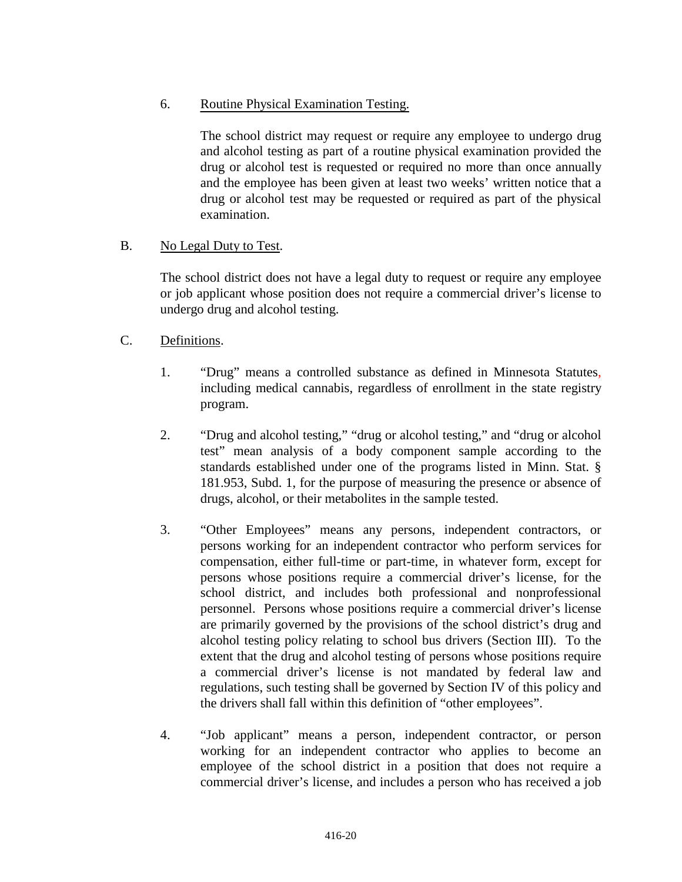## 6. Routine Physical Examination Testing.

The school district may request or require any employee to undergo drug and alcohol testing as part of a routine physical examination provided the drug or alcohol test is requested or required no more than once annually and the employee has been given at least two weeks' written notice that a drug or alcohol test may be requested or required as part of the physical examination.

## B. No Legal Duty to Test.

The school district does not have a legal duty to request or require any employee or job applicant whose position does not require a commercial driver's license to undergo drug and alcohol testing.

## C. Definitions.

- 1. "Drug" means a controlled substance as defined in Minnesota Statutes, including medical cannabis, regardless of enrollment in the state registry program.
- 2. "Drug and alcohol testing," "drug or alcohol testing," and "drug or alcohol test" mean analysis of a body component sample according to the standards established under one of the programs listed in Minn. Stat. § 181.953, Subd. 1, for the purpose of measuring the presence or absence of drugs, alcohol, or their metabolites in the sample tested.
- 3. "Other Employees" means any persons, independent contractors, or persons working for an independent contractor who perform services for compensation, either full-time or part-time, in whatever form, except for persons whose positions require a commercial driver's license, for the school district, and includes both professional and nonprofessional personnel. Persons whose positions require a commercial driver's license are primarily governed by the provisions of the school district's drug and alcohol testing policy relating to school bus drivers (Section III). To the extent that the drug and alcohol testing of persons whose positions require a commercial driver's license is not mandated by federal law and regulations, such testing shall be governed by Section IV of this policy and the drivers shall fall within this definition of "other employees".
- 4. "Job applicant" means a person, independent contractor, or person working for an independent contractor who applies to become an employee of the school district in a position that does not require a commercial driver's license, and includes a person who has received a job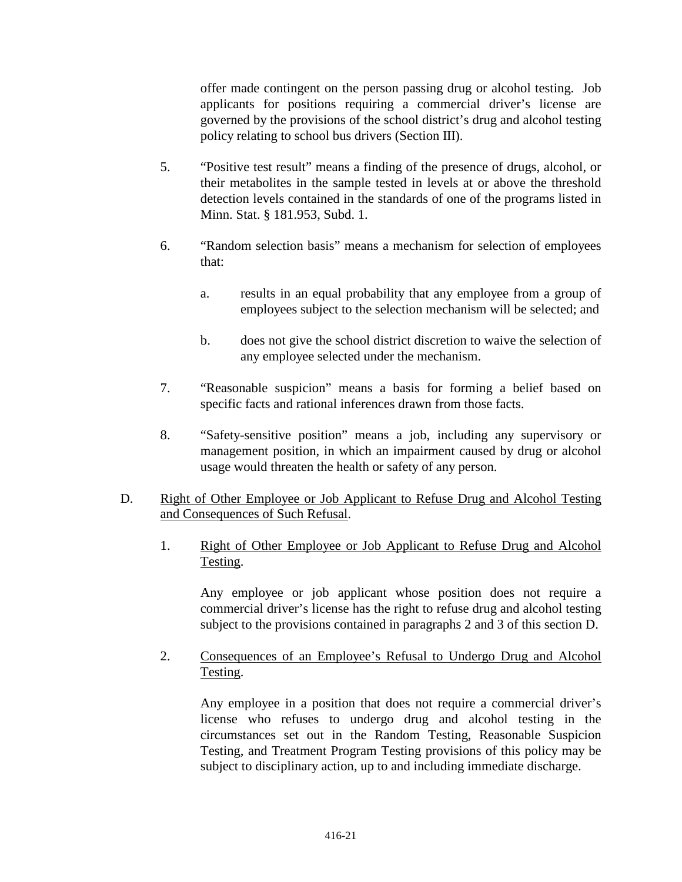offer made contingent on the person passing drug or alcohol testing. Job applicants for positions requiring a commercial driver's license are governed by the provisions of the school district's drug and alcohol testing policy relating to school bus drivers (Section III).

- 5. "Positive test result" means a finding of the presence of drugs, alcohol, or their metabolites in the sample tested in levels at or above the threshold detection levels contained in the standards of one of the programs listed in Minn. Stat. § 181.953, Subd. 1.
- 6. "Random selection basis" means a mechanism for selection of employees that:
	- a. results in an equal probability that any employee from a group of employees subject to the selection mechanism will be selected; and
	- b. does not give the school district discretion to waive the selection of any employee selected under the mechanism.
- 7. "Reasonable suspicion" means a basis for forming a belief based on specific facts and rational inferences drawn from those facts.
- 8. "Safety-sensitive position" means a job, including any supervisory or management position, in which an impairment caused by drug or alcohol usage would threaten the health or safety of any person.
- D. Right of Other Employee or Job Applicant to Refuse Drug and Alcohol Testing and Consequences of Such Refusal.
	- 1. Right of Other Employee or Job Applicant to Refuse Drug and Alcohol Testing.

Any employee or job applicant whose position does not require a commercial driver's license has the right to refuse drug and alcohol testing subject to the provisions contained in paragraphs 2 and 3 of this section D.

2. Consequences of an Employee's Refusal to Undergo Drug and Alcohol Testing.

Any employee in a position that does not require a commercial driver's license who refuses to undergo drug and alcohol testing in the circumstances set out in the Random Testing, Reasonable Suspicion Testing, and Treatment Program Testing provisions of this policy may be subject to disciplinary action, up to and including immediate discharge.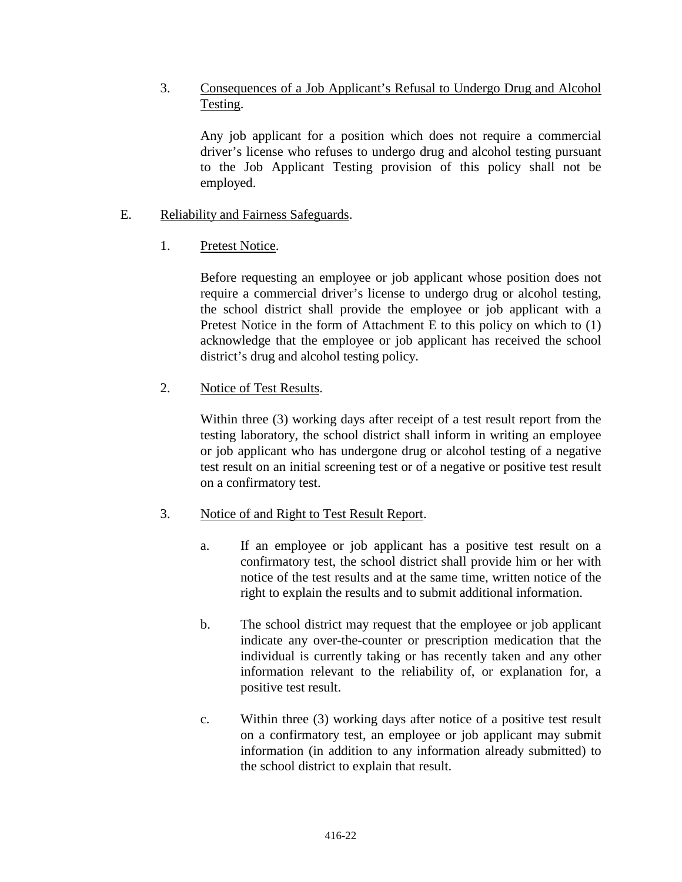## 3. Consequences of a Job Applicant's Refusal to Undergo Drug and Alcohol Testing.

Any job applicant for a position which does not require a commercial driver's license who refuses to undergo drug and alcohol testing pursuant to the Job Applicant Testing provision of this policy shall not be employed.

## E. Reliability and Fairness Safeguards.

1. Pretest Notice.

Before requesting an employee or job applicant whose position does not require a commercial driver's license to undergo drug or alcohol testing, the school district shall provide the employee or job applicant with a Pretest Notice in the form of Attachment E to this policy on which to (1) acknowledge that the employee or job applicant has received the school district's drug and alcohol testing policy.

## 2. Notice of Test Results.

Within three (3) working days after receipt of a test result report from the testing laboratory, the school district shall inform in writing an employee or job applicant who has undergone drug or alcohol testing of a negative test result on an initial screening test or of a negative or positive test result on a confirmatory test.

## 3. Notice of and Right to Test Result Report.

- a. If an employee or job applicant has a positive test result on a confirmatory test, the school district shall provide him or her with notice of the test results and at the same time, written notice of the right to explain the results and to submit additional information.
- b. The school district may request that the employee or job applicant indicate any over-the-counter or prescription medication that the individual is currently taking or has recently taken and any other information relevant to the reliability of, or explanation for, a positive test result.
- c. Within three (3) working days after notice of a positive test result on a confirmatory test, an employee or job applicant may submit information (in addition to any information already submitted) to the school district to explain that result.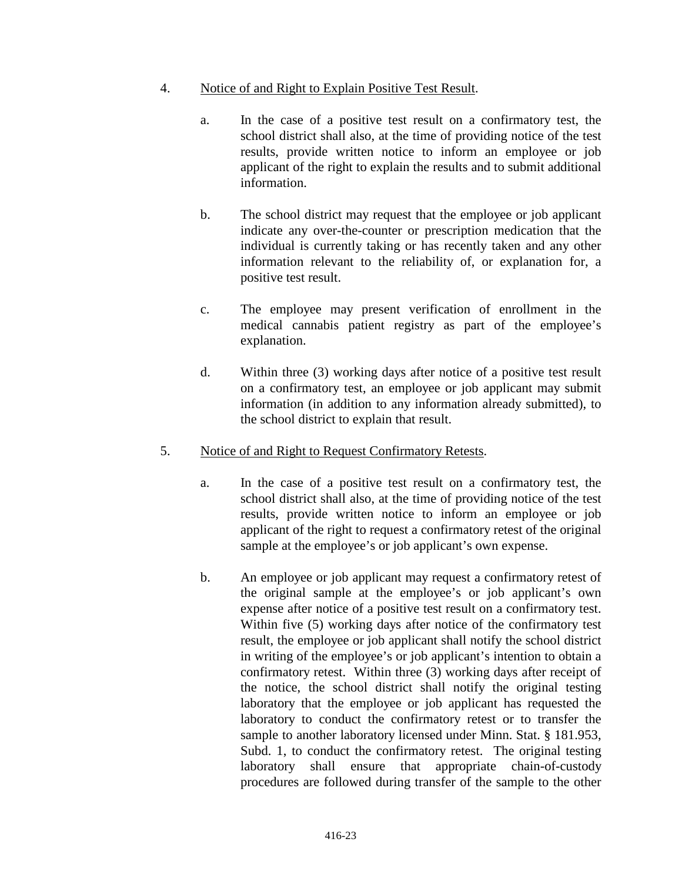- 4. Notice of and Right to Explain Positive Test Result.
	- a. In the case of a positive test result on a confirmatory test, the school district shall also, at the time of providing notice of the test results, provide written notice to inform an employee or job applicant of the right to explain the results and to submit additional information.
	- b. The school district may request that the employee or job applicant indicate any over-the-counter or prescription medication that the individual is currently taking or has recently taken and any other information relevant to the reliability of, or explanation for, a positive test result.
	- c. The employee may present verification of enrollment in the medical cannabis patient registry as part of the employee's explanation.
	- d. Within three (3) working days after notice of a positive test result on a confirmatory test, an employee or job applicant may submit information (in addition to any information already submitted), to the school district to explain that result.
- 5. Notice of and Right to Request Confirmatory Retests.
	- a. In the case of a positive test result on a confirmatory test, the school district shall also, at the time of providing notice of the test results, provide written notice to inform an employee or job applicant of the right to request a confirmatory retest of the original sample at the employee's or job applicant's own expense.
	- b. An employee or job applicant may request a confirmatory retest of the original sample at the employee's or job applicant's own expense after notice of a positive test result on a confirmatory test. Within five (5) working days after notice of the confirmatory test result, the employee or job applicant shall notify the school district in writing of the employee's or job applicant's intention to obtain a confirmatory retest. Within three (3) working days after receipt of the notice, the school district shall notify the original testing laboratory that the employee or job applicant has requested the laboratory to conduct the confirmatory retest or to transfer the sample to another laboratory licensed under Minn. Stat. § 181.953, Subd. 1, to conduct the confirmatory retest. The original testing laboratory shall ensure that appropriate chain-of-custody procedures are followed during transfer of the sample to the other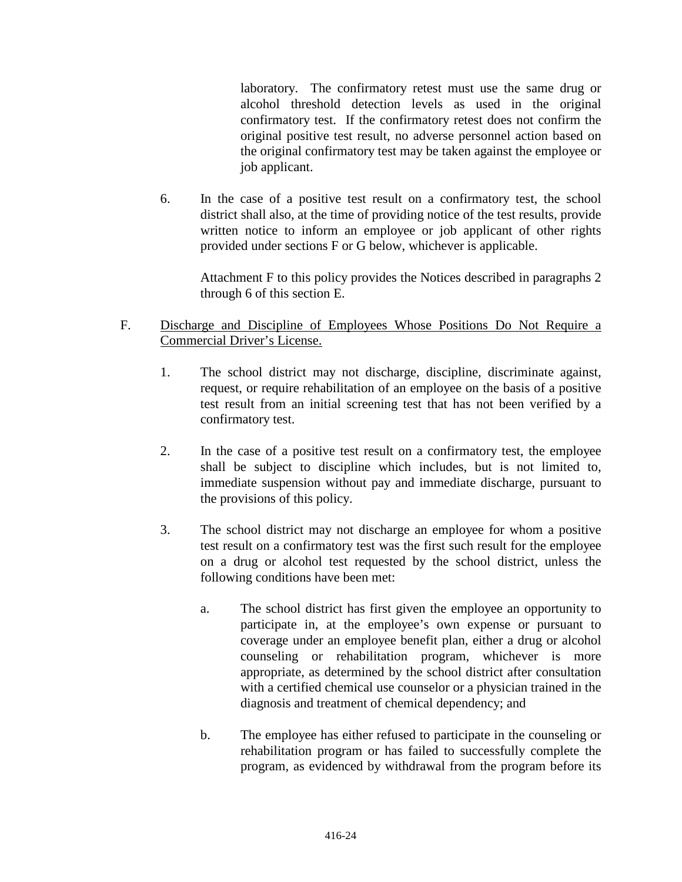laboratory. The confirmatory retest must use the same drug or alcohol threshold detection levels as used in the original confirmatory test. If the confirmatory retest does not confirm the original positive test result, no adverse personnel action based on the original confirmatory test may be taken against the employee or job applicant.

6. In the case of a positive test result on a confirmatory test, the school district shall also, at the time of providing notice of the test results, provide written notice to inform an employee or job applicant of other rights provided under sections F or G below, whichever is applicable.

Attachment F to this policy provides the Notices described in paragraphs 2 through 6 of this section E.

## F. Discharge and Discipline of Employees Whose Positions Do Not Require a Commercial Driver's License.

- 1. The school district may not discharge, discipline, discriminate against, request, or require rehabilitation of an employee on the basis of a positive test result from an initial screening test that has not been verified by a confirmatory test.
- 2. In the case of a positive test result on a confirmatory test, the employee shall be subject to discipline which includes, but is not limited to, immediate suspension without pay and immediate discharge, pursuant to the provisions of this policy.
- 3. The school district may not discharge an employee for whom a positive test result on a confirmatory test was the first such result for the employee on a drug or alcohol test requested by the school district, unless the following conditions have been met:
	- a. The school district has first given the employee an opportunity to participate in, at the employee's own expense or pursuant to coverage under an employee benefit plan, either a drug or alcohol counseling or rehabilitation program, whichever is more appropriate, as determined by the school district after consultation with a certified chemical use counselor or a physician trained in the diagnosis and treatment of chemical dependency; and
	- b. The employee has either refused to participate in the counseling or rehabilitation program or has failed to successfully complete the program, as evidenced by withdrawal from the program before its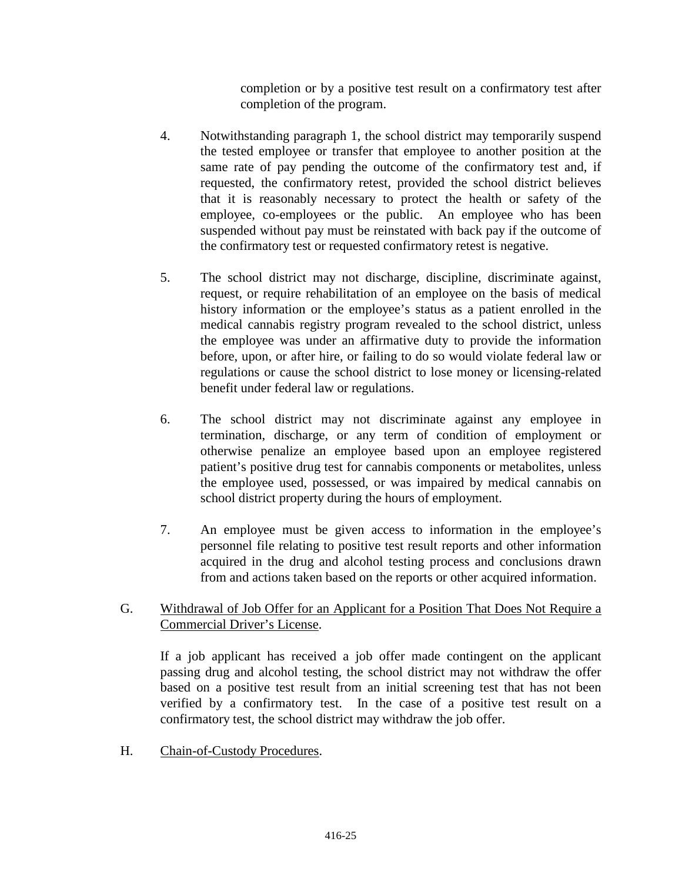completion or by a positive test result on a confirmatory test after completion of the program.

- 4. Notwithstanding paragraph 1, the school district may temporarily suspend the tested employee or transfer that employee to another position at the same rate of pay pending the outcome of the confirmatory test and, if requested, the confirmatory retest, provided the school district believes that it is reasonably necessary to protect the health or safety of the employee, co-employees or the public. An employee who has been suspended without pay must be reinstated with back pay if the outcome of the confirmatory test or requested confirmatory retest is negative.
- 5. The school district may not discharge, discipline, discriminate against, request, or require rehabilitation of an employee on the basis of medical history information or the employee's status as a patient enrolled in the medical cannabis registry program revealed to the school district, unless the employee was under an affirmative duty to provide the information before, upon, or after hire, or failing to do so would violate federal law or regulations or cause the school district to lose money or licensing-related benefit under federal law or regulations.
- 6. The school district may not discriminate against any employee in termination, discharge, or any term of condition of employment or otherwise penalize an employee based upon an employee registered patient's positive drug test for cannabis components or metabolites, unless the employee used, possessed, or was impaired by medical cannabis on school district property during the hours of employment.
- 7. An employee must be given access to information in the employee's personnel file relating to positive test result reports and other information acquired in the drug and alcohol testing process and conclusions drawn from and actions taken based on the reports or other acquired information.

## G. Withdrawal of Job Offer for an Applicant for a Position That Does Not Require a Commercial Driver's License.

If a job applicant has received a job offer made contingent on the applicant passing drug and alcohol testing, the school district may not withdraw the offer based on a positive test result from an initial screening test that has not been verified by a confirmatory test. In the case of a positive test result on a confirmatory test, the school district may withdraw the job offer.

H. Chain-of-Custody Procedures.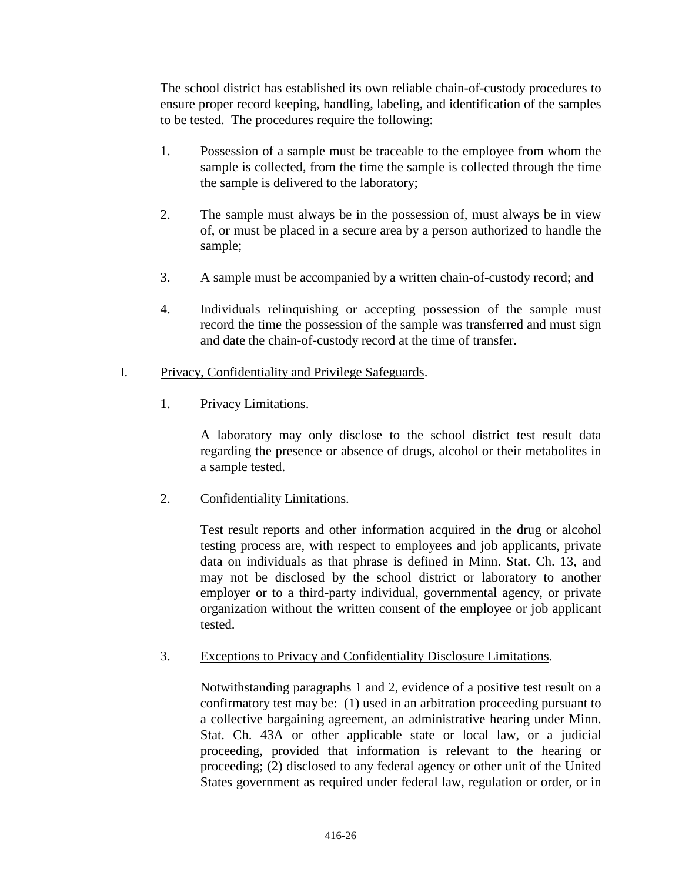The school district has established its own reliable chain-of-custody procedures to ensure proper record keeping, handling, labeling, and identification of the samples to be tested. The procedures require the following:

- 1. Possession of a sample must be traceable to the employee from whom the sample is collected, from the time the sample is collected through the time the sample is delivered to the laboratory;
- 2. The sample must always be in the possession of, must always be in view of, or must be placed in a secure area by a person authorized to handle the sample;
- 3. A sample must be accompanied by a written chain-of-custody record; and
- 4. Individuals relinquishing or accepting possession of the sample must record the time the possession of the sample was transferred and must sign and date the chain-of-custody record at the time of transfer.

### I. Privacy, Confidentiality and Privilege Safeguards.

1. Privacy Limitations.

A laboratory may only disclose to the school district test result data regarding the presence or absence of drugs, alcohol or their metabolites in a sample tested.

2. Confidentiality Limitations.

Test result reports and other information acquired in the drug or alcohol testing process are, with respect to employees and job applicants, private data on individuals as that phrase is defined in Minn. Stat. Ch. 13, and may not be disclosed by the school district or laboratory to another employer or to a third-party individual, governmental agency, or private organization without the written consent of the employee or job applicant tested.

3. Exceptions to Privacy and Confidentiality Disclosure Limitations.

Notwithstanding paragraphs 1 and 2, evidence of a positive test result on a confirmatory test may be: (1) used in an arbitration proceeding pursuant to a collective bargaining agreement, an administrative hearing under Minn. Stat. Ch. 43A or other applicable state or local law, or a judicial proceeding, provided that information is relevant to the hearing or proceeding; (2) disclosed to any federal agency or other unit of the United States government as required under federal law, regulation or order, or in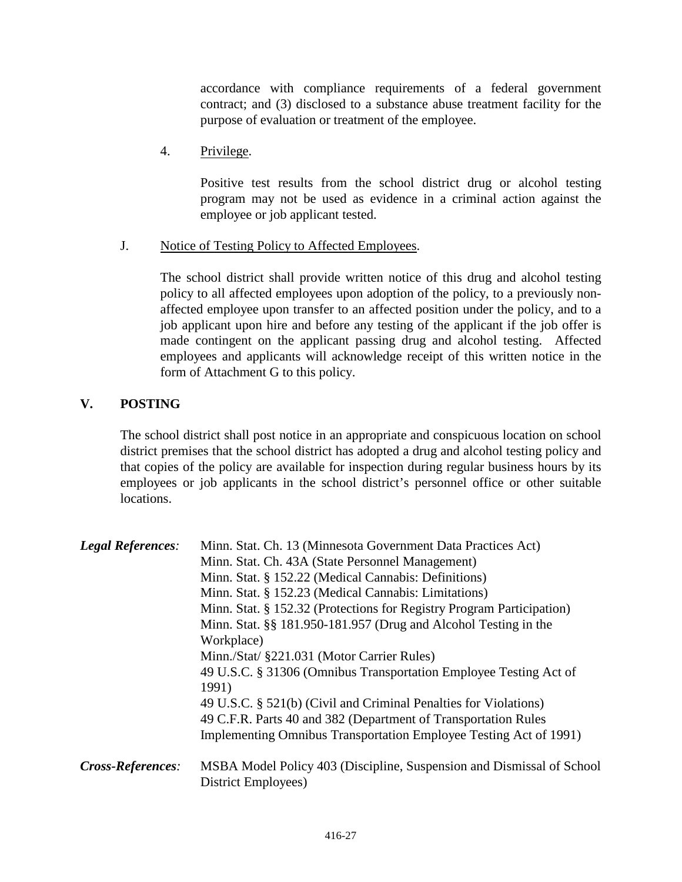accordance with compliance requirements of a federal government contract; and (3) disclosed to a substance abuse treatment facility for the purpose of evaluation or treatment of the employee.

4. Privilege.

Positive test results from the school district drug or alcohol testing program may not be used as evidence in a criminal action against the employee or job applicant tested.

J. Notice of Testing Policy to Affected Employees.

The school district shall provide written notice of this drug and alcohol testing policy to all affected employees upon adoption of the policy, to a previously nonaffected employee upon transfer to an affected position under the policy, and to a job applicant upon hire and before any testing of the applicant if the job offer is made contingent on the applicant passing drug and alcohol testing. Affected employees and applicants will acknowledge receipt of this written notice in the form of Attachment G to this policy.

# **V. POSTING**

The school district shall post notice in an appropriate and conspicuous location on school district premises that the school district has adopted a drug and alcohol testing policy and that copies of the policy are available for inspection during regular business hours by its employees or job applicants in the school district's personnel office or other suitable locations.

| <b>Legal References:</b> | Minn. Stat. Ch. 13 (Minnesota Government Data Practices Act)<br>Minn. Stat. Ch. 43A (State Personnel Management)<br>Minn. Stat. § 152.22 (Medical Cannabis: Definitions)<br>Minn. Stat. § 152.23 (Medical Cannabis: Limitations)<br>Minn. Stat. § 152.32 (Protections for Registry Program Participation)<br>Minn. Stat. §§ 181.950-181.957 (Drug and Alcohol Testing in the<br>Workplace)<br>Minn./Stat/ §221.031 (Motor Carrier Rules)<br>49 U.S.C. § 31306 (Omnibus Transportation Employee Testing Act of<br>1991) |
|--------------------------|------------------------------------------------------------------------------------------------------------------------------------------------------------------------------------------------------------------------------------------------------------------------------------------------------------------------------------------------------------------------------------------------------------------------------------------------------------------------------------------------------------------------|
| Cross-References:        | 49 U.S.C. § 521(b) (Civil and Criminal Penalties for Violations)<br>49 C.F.R. Parts 40 and 382 (Department of Transportation Rules<br>Implementing Omnibus Transportation Employee Testing Act of 1991)<br>MSBA Model Policy 403 (Discipline, Suspension and Dismissal of School<br>District Employees)                                                                                                                                                                                                                |